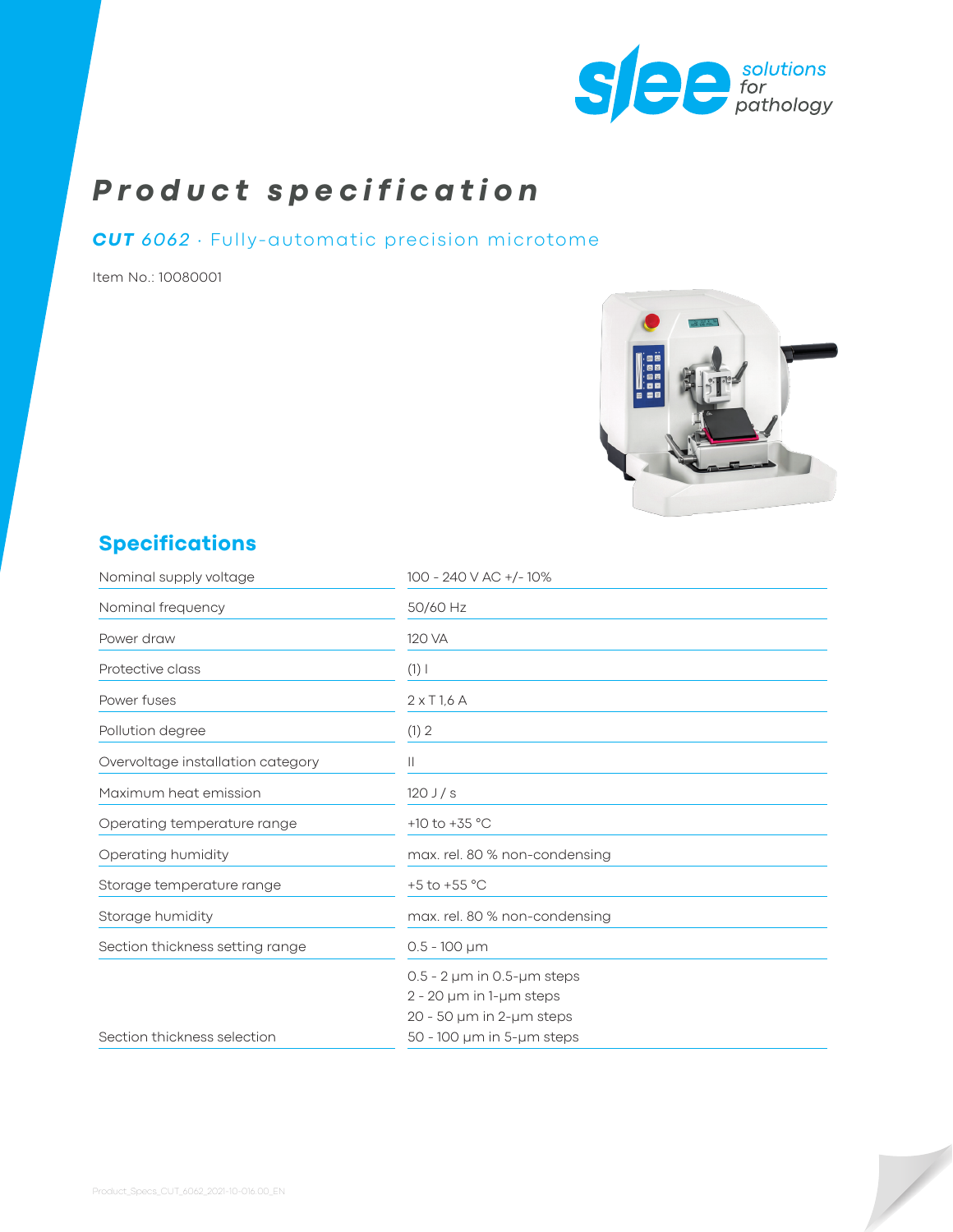

# *Product specification*

#### *CUT 6062* ∙ Fully-automatic precision microtome

Item No.: 10080001



# **Specifications**

| Nominal supply voltage            | 100 - 240 V AC +/-10%                 |
|-----------------------------------|---------------------------------------|
| Nominal frequency                 | 50/60 Hz                              |
| Power draw                        | 120 VA                                |
| Protective class                  | $(1)$                                 |
| Power fuses                       | $2 \times$ T <sub>1,6</sub> A         |
| Pollution degree                  | (1) 2                                 |
| Overvoltage installation category | $\mathbf{H}$                          |
| Maximum heat emission             | $120$ J $/s$                          |
| Operating temperature range       | +10 to +35 $^{\circ}$ C               |
| Operating humidity                | max. rel. 80 % non-condensing         |
| Storage temperature range         | +5 to +55 $^{\circ}$ C                |
| Storage humidity                  | max. rel. 80 % non-condensing         |
| Section thickness setting range   | $0.5 - 100 \mu m$                     |
|                                   | $0.5 - 2 \mu m$ in 0.5- $\mu$ m steps |
|                                   | $2 - 20$ µm in 1-µm steps             |
|                                   | 20 - 50 µm in 2-µm steps              |
| Section thickness selection       | $50 - 100 \mu m$ in 5- $\mu m$ steps  |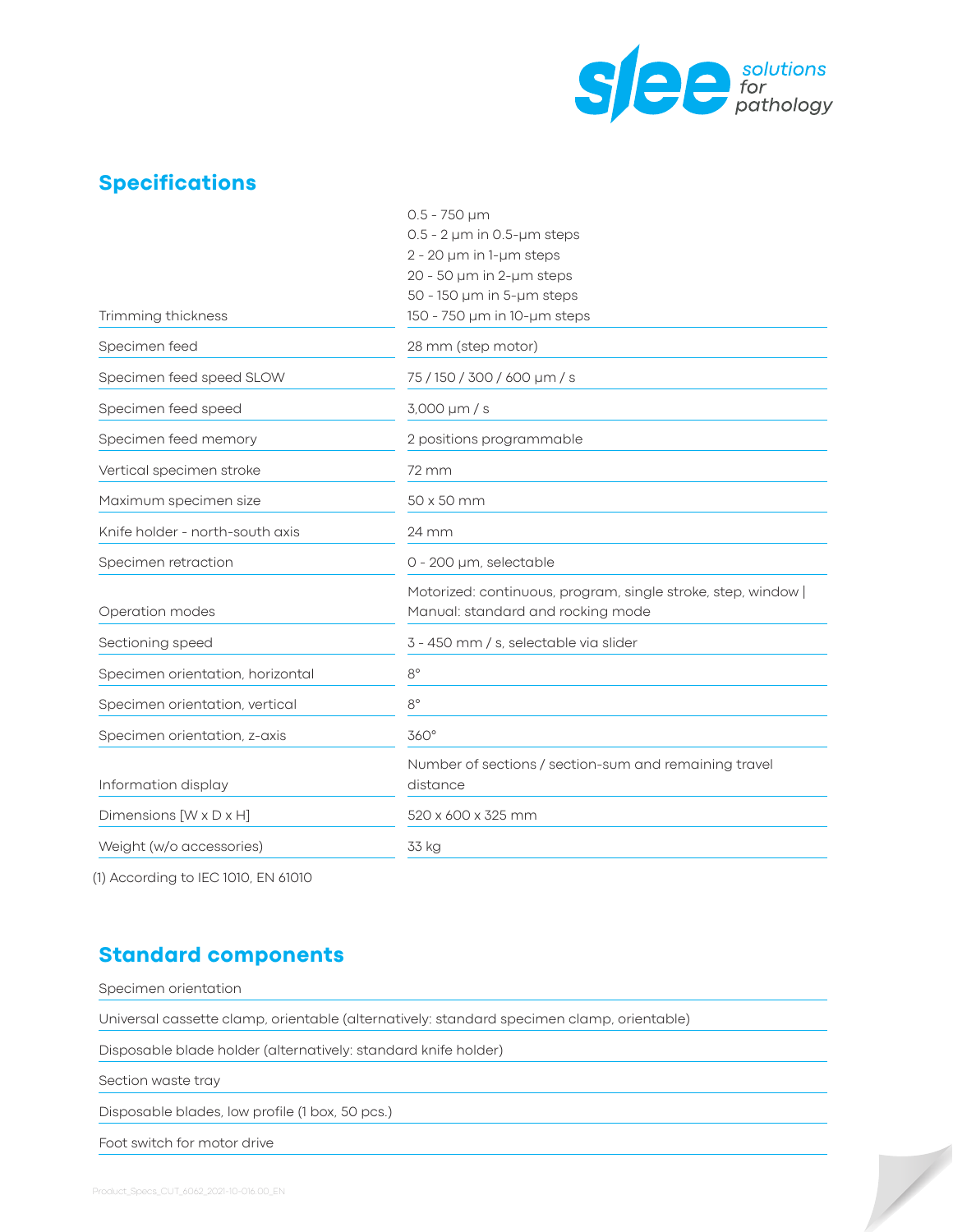

X

### **Specifications**

|                                  | $0.5 - 750 \mu m$                                                 |
|----------------------------------|-------------------------------------------------------------------|
|                                  | $0.5 - 2 \mu m$ in 0.5- $\mu$ m steps                             |
|                                  | $2 - 20$ µm in 1-µm steps                                         |
|                                  | 20 - 50 µm in 2-µm steps                                          |
|                                  | $50 - 150$ µm in $5$ -µm steps                                    |
| Trimming thickness               | 150 - 750 µm in 10-µm steps                                       |
| Specimen feed                    | 28 mm (step motor)                                                |
| Specimen feed speed SLOW         | 75/150/300/600 µm/s                                               |
| Specimen feed speed              | 3,000 µm / s                                                      |
| Specimen feed memory             | 2 positions programmable                                          |
| Vertical specimen stroke         | 72 mm                                                             |
| Maximum specimen size            | 50 x 50 mm                                                        |
| Knife holder - north-south axis  | 24 mm                                                             |
| Specimen retraction              | 0 - 200 µm, selectable                                            |
|                                  | Motorized: continuous, program, single stroke, step, window       |
| Operation modes                  | Manual: standard and rocking mode                                 |
| Sectioning speed                 | 3 - 450 mm / s, selectable via slider                             |
| Specimen orientation, horizontal | $8^{\circ}$                                                       |
| Specimen orientation, vertical   | $8^{\circ}$                                                       |
| Specimen orientation, z-axis     | $360^\circ$                                                       |
| Information display              | Number of sections / section-sum and remaining travel<br>distance |
| Dimensions [W x D x H]           | 520 x 600 x 325 mm                                                |
| Weight (w/o accessories)         | 33 kg                                                             |
|                                  |                                                                   |

(1) According to IEC 1010, EN 61010

#### **Standard components**

Specimen orientation

Universal cassette clamp, orientable (alternatively: standard specimen clamp, orientable)

Disposable blade holder (alternatively: standard knife holder)

Section waste tray

Disposable blades, low profile (1 box, 50 pcs.)

Foot switch for motor drive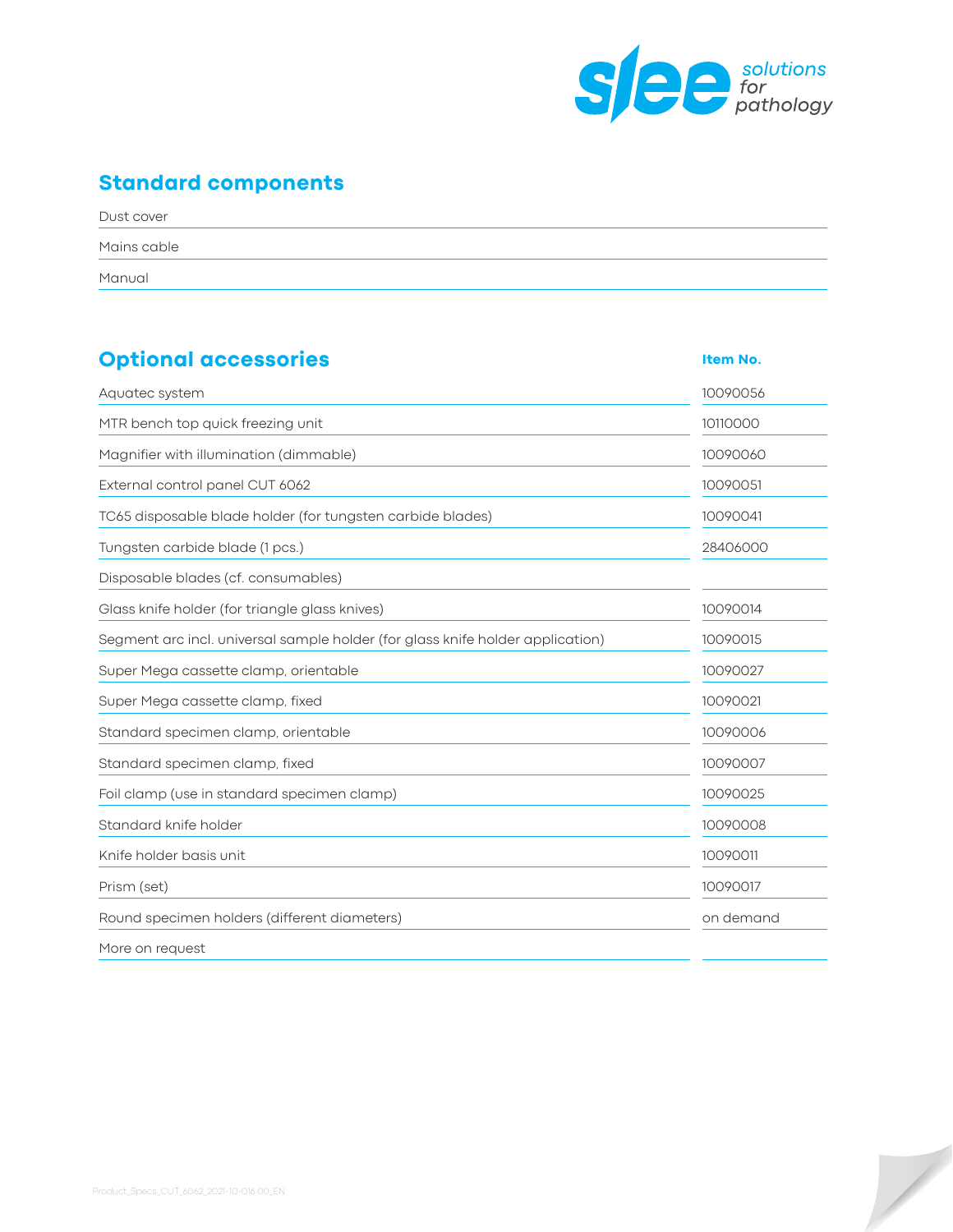

 $\overline{\phantom{a}}$ 

# **Standard components**

| Dust cover  |  |
|-------------|--|
| Mains cable |  |
| Manual      |  |

| <b>Optional accessories</b>                                                    | Item No.  |
|--------------------------------------------------------------------------------|-----------|
| Aquatec system                                                                 | 10090056  |
| MTR bench top quick freezing unit                                              | 10110000  |
| Magnifier with illumination (dimmable)                                         | 10090060  |
| External control panel CUT 6062                                                | 10090051  |
| TC65 disposable blade holder (for tungsten carbide blades)                     | 10090041  |
| Tungsten carbide blade (1 pcs.)                                                | 28406000  |
| Disposable blades (cf. consumables)                                            |           |
| Glass knife holder (for triangle glass knives)                                 | 10090014  |
| Segment arc incl. universal sample holder (for glass knife holder application) | 10090015  |
| Super Mega cassette clamp, orientable                                          | 10090027  |
| Super Mega cassette clamp, fixed                                               | 10090021  |
| Standard specimen clamp, orientable                                            | 10090006  |
| Standard specimen clamp, fixed                                                 | 10090007  |
| Foil clamp (use in standard specimen clamp)                                    | 10090025  |
| Standard knife holder                                                          | 10090008  |
| Knife holder basis unit                                                        | 10090011  |
| Prism (set)                                                                    | 10090017  |
| Round specimen holders (different diameters)                                   | on demand |
| More on request                                                                |           |